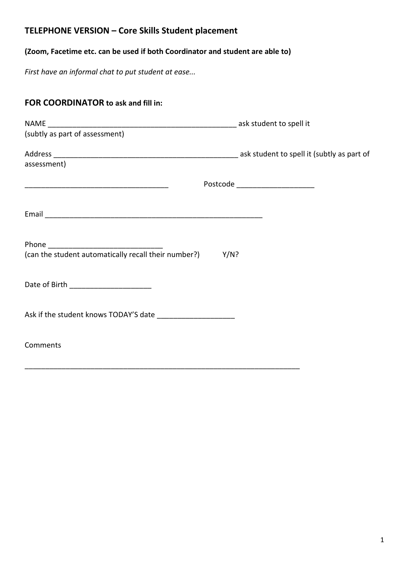# **TELEPHONE VERSION – Core Skills Student placement**

## **(Zoom, Facetime etc. can be used if both Coordinator and student are able to)**

*First have an informal chat to put student at ease...*

| FOR COORDINATOR to ask and fill in:                       |                                  |
|-----------------------------------------------------------|----------------------------------|
|                                                           |                                  |
| assessment)                                               |                                  |
|                                                           | Postcode _______________________ |
|                                                           |                                  |
| (can the student automatically recall their number?) Y/N? |                                  |
|                                                           |                                  |
|                                                           |                                  |
| Comments                                                  |                                  |

\_\_\_\_\_\_\_\_\_\_\_\_\_\_\_\_\_\_\_\_\_\_\_\_\_\_\_\_\_\_\_\_\_\_\_\_\_\_\_\_\_\_\_\_\_\_\_\_\_\_\_\_\_\_\_\_\_\_\_\_\_\_\_\_\_\_\_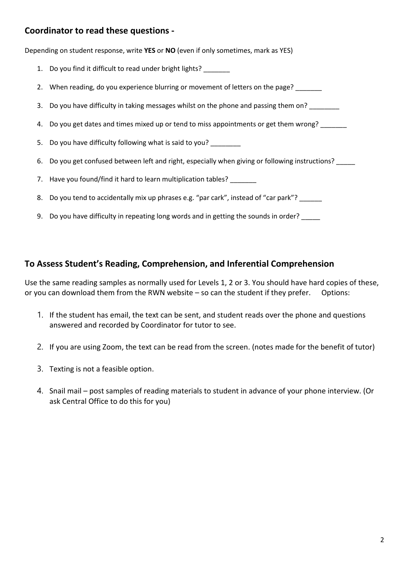#### **Coordinator to read these questions -**

Depending on student response, write **YES** or **NO** (even if only sometimes, mark as YES)

- 1. Do you find it difficult to read under bright lights?
- 2. When reading, do you experience blurring or movement of letters on the page?
- 3. Do you have difficulty in taking messages whilst on the phone and passing them on?
- 4. Do you get dates and times mixed up or tend to miss appointments or get them wrong?
- 5. Do you have difficulty following what is said to you? \_\_\_\_\_\_\_
- 6. Do you get confused between left and right, especially when giving or following instructions?
- 7. Have you found/find it hard to learn multiplication tables?
- 8. Do you tend to accidentally mix up phrases e.g. "par cark", instead of "car park"? \_\_\_\_\_\_
- 9. Do you have difficulty in repeating long words and in getting the sounds in order?

#### **To Assess Student's Reading, Comprehension, and Inferential Comprehension**

Use the same reading samples as normally used for Levels 1, 2 or 3. You should have hard copies of these, or you can download them from the RWN website – so can the student if they prefer. Options:

- 1. If the student has email, the text can be sent, and student reads over the phone and questions answered and recorded by Coordinator for tutor to see.
- 2. If you are using Zoom, the text can be read from the screen. (notes made for the benefit of tutor)
- 3. Texting is not a feasible option.
- 4. Snail mail post samples of reading materials to student in advance of your phone interview. (Or ask Central Office to do this for you)